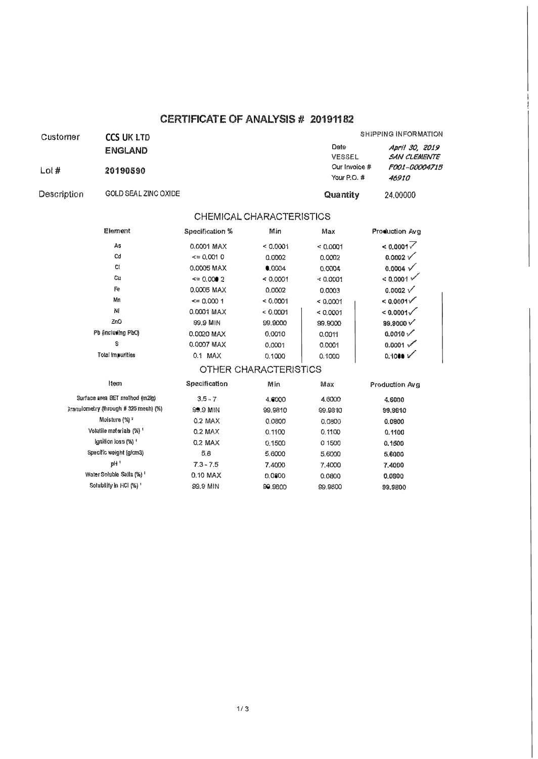## **CERTIFICATE OF ANALYSIS # 20191182**

I I

| Customer       | <b>CCS UK LTD</b>    |                                  | SHIPPING INFORMATION                  |  |  |
|----------------|----------------------|----------------------------------|---------------------------------------|--|--|
|                | <b>ENGLAND</b>       | Date<br>VESSEL                   | April 30, 2019<br><b>SAN CLEMENTE</b> |  |  |
| $\text{Loi }#$ | 20190590             | Our Invoice $#$<br>Your P.O. $#$ | <i>FOO1-00004715</i><br>46910         |  |  |
| Description    | GOLD SEAL ZINC OXIDE | Quantity                         | 24,00000                              |  |  |

## CHEMICAL CHARACTERISTICS

| Production Avg        | Max      | Min      | Specification %  | Element            |
|-----------------------|----------|----------|------------------|--------------------|
| < 0.0001              | < 0.0001 | < 0.0001 | 0.0001 MAX       | As                 |
| $0.0002$ $\checkmark$ | 0.0002   | 0.0002   | $\leq$ 0.001 0   | Cd                 |
| $0.0004 \sqrt{ }$     | 0.0004   | 0.0004   | 0.0005 MAX       | CI.                |
| < 0.0001              | < 0.0001 | < 0.0001 | $\leq$ 0.000 2   | Сu                 |
| $0.0002$ $\checkmark$ | 0.0003   | 0.0002   | 0.0005 MAX       | Fe                 |
| $\leq 0.0001$         | < 0.0001 | 0.0001   | $\approx 0.0001$ | Μn                 |
| $< 0.0001\sqrt{}$     | < 0.0001 | < 0.0001 | 0.0001 MAX       | NI                 |
| $99.9000 \sqrt{}$     | 99.9000  | 99,9000  | 99.9 MIN         | ZnO                |
| $0.0010$ $\checkmark$ | 0.0011   | 0.0010   | 0.0020 MAX       | Pb (inclusing PbO) |
| 0.0001                | 0.0001   | 0.0001   | 0.0007 MAX       | S                  |
| 0.1000~V              | 0.1000   | 0.1000   | 0.1 MAX          | Total Imnurities   |

## OTHER CHARACTERISTICS

| Item                                           | Specification | Min     | Max     | Production Avg |
|------------------------------------------------|---------------|---------|---------|----------------|
| Surface area SET method (m2/n)                 | $3.5 - 7$     | 4.6000  | 4.6000  | 4.6000         |
| $3$ ranulometry (linough $\#$ 325 mesh) $(\%)$ | 99.9 MIN      | 99,9810 | 99.9810 | 99,9810        |
| Moisture $\binom{6}{0}$ <sup>T</sup>           | $0.2$ MAX     | 0.0800  | 0.0800  | 0.0800         |
| Volatile materials (%) 1                       | $0.2$ MAX     | 0.1100  | 0.1100  | 0.1100         |
| Ignition loss (%) 1                            | $0.2$ MAX     | 0.1500  | 01500   | 0.1500         |
| Specific weight (g/cm3)                        | 5.6           | 5,6000  | 5,6000  | 5.6000         |
| $pH$ <sup>1</sup>                              | $7.3 - 7.5$   | 7.4000  | 7.4000  | 7.4000         |
| Water Soluble Salts (%) 1                      | $0.10$ MAX    | 0.0800  | 0.0800  | 0.0800         |
| Solubility in HCl (%) <sup>1</sup>             | 99.9 MIN      | 99.9800 | 99,9800 | 99.9800        |